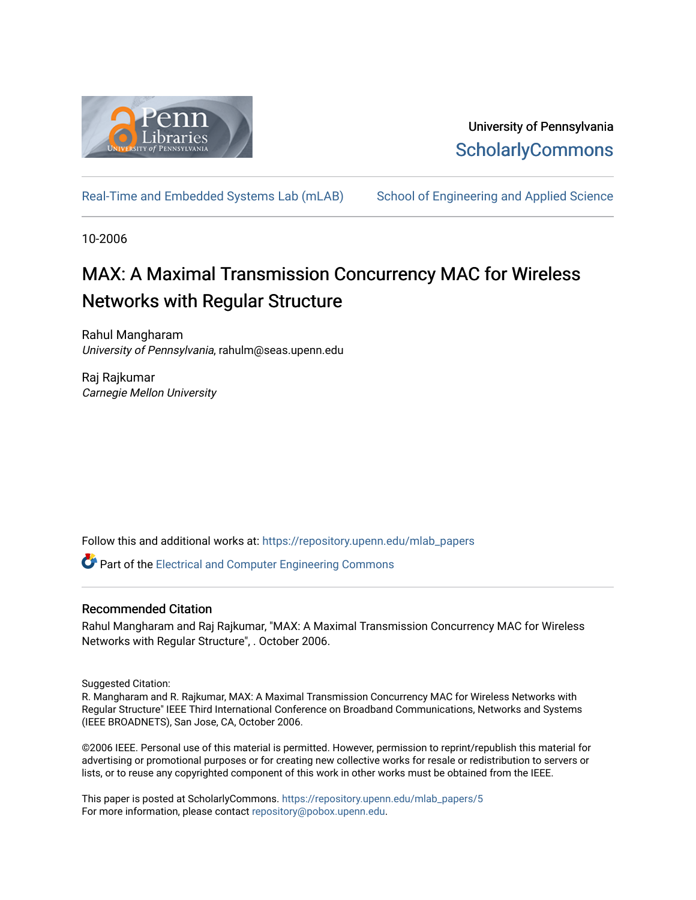

## University of Pennsylvania **ScholarlyCommons**

[Real-Time and Embedded Systems Lab \(mLAB\)](https://repository.upenn.edu/mlab_papers) [School of Engineering and Applied Science](https://repository.upenn.edu/seas) 

10-2006

# MAX: A Maximal Transmission Concurrency MAC for Wireless Networks with Regular Structure

Rahul Mangharam University of Pennsylvania, rahulm@seas.upenn.edu

Raj Rajkumar Carnegie Mellon University

Follow this and additional works at: [https://repository.upenn.edu/mlab\\_papers](https://repository.upenn.edu/mlab_papers?utm_source=repository.upenn.edu%2Fmlab_papers%2F5&utm_medium=PDF&utm_campaign=PDFCoverPages) 

Part of the [Electrical and Computer Engineering Commons](http://network.bepress.com/hgg/discipline/266?utm_source=repository.upenn.edu%2Fmlab_papers%2F5&utm_medium=PDF&utm_campaign=PDFCoverPages) 

## Recommended Citation

Rahul Mangharam and Raj Rajkumar, "MAX: A Maximal Transmission Concurrency MAC for Wireless Networks with Regular Structure", . October 2006.

Suggested Citation:

R. Mangharam and R. Rajkumar, MAX: A Maximal Transmission Concurrency MAC for Wireless Networks with Regular Structure" IEEE Third International Conference on Broadband Communications, Networks and Systems (IEEE BROADNETS), San Jose, CA, October 2006.

©2006 IEEE. Personal use of this material is permitted. However, permission to reprint/republish this material for advertising or promotional purposes or for creating new collective works for resale or redistribution to servers or lists, or to reuse any copyrighted component of this work in other works must be obtained from the IEEE.

This paper is posted at ScholarlyCommons. [https://repository.upenn.edu/mlab\\_papers/5](https://repository.upenn.edu/mlab_papers/5) For more information, please contact [repository@pobox.upenn.edu.](mailto:repository@pobox.upenn.edu)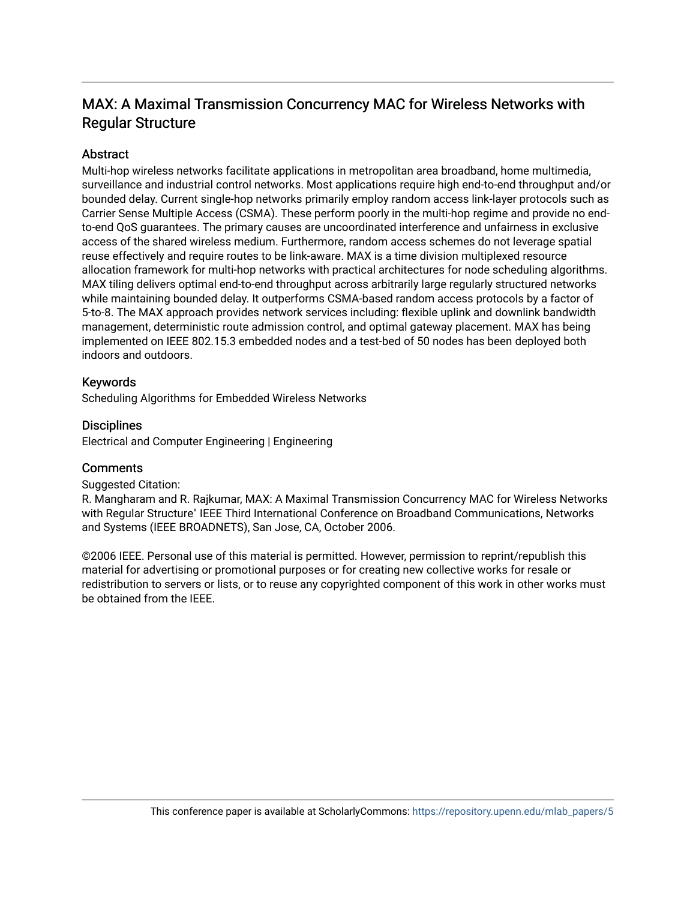## MAX: A Maximal Transmission Concurrency MAC for Wireless Networks with Regular Structure

## **Abstract**

Multi-hop wireless networks facilitate applications in metropolitan area broadband, home multimedia, surveillance and industrial control networks. Most applications require high end-to-end throughput and/or bounded delay. Current single-hop networks primarily employ random access link-layer protocols such as Carrier Sense Multiple Access (CSMA). These perform poorly in the multi-hop regime and provide no endto-end QoS guarantees. The primary causes are uncoordinated interference and unfairness in exclusive access of the shared wireless medium. Furthermore, random access schemes do not leverage spatial reuse effectively and require routes to be link-aware. MAX is a time division multiplexed resource allocation framework for multi-hop networks with practical architectures for node scheduling algorithms. MAX tiling delivers optimal end-to-end throughput across arbitrarily large regularly structured networks while maintaining bounded delay. It outperforms CSMA-based random access protocols by a factor of 5-to-8. The MAX approach provides network services including: flexible uplink and downlink bandwidth management, deterministic route admission control, and optimal gateway placement. MAX has being implemented on IEEE 802.15.3 embedded nodes and a test-bed of 50 nodes has been deployed both indoors and outdoors.

## Keywords

Scheduling Algorithms for Embedded Wireless Networks

## **Disciplines**

Electrical and Computer Engineering | Engineering

## **Comments**

## Suggested Citation:

R. Mangharam and R. Rajkumar, MAX: A Maximal Transmission Concurrency MAC for Wireless Networks with Regular Structure" IEEE Third International Conference on Broadband Communications, Networks and Systems (IEEE BROADNETS), San Jose, CA, October 2006.

©2006 IEEE. Personal use of this material is permitted. However, permission to reprint/republish this material for advertising or promotional purposes or for creating new collective works for resale or redistribution to servers or lists, or to reuse any copyrighted component of this work in other works must be obtained from the IEEE.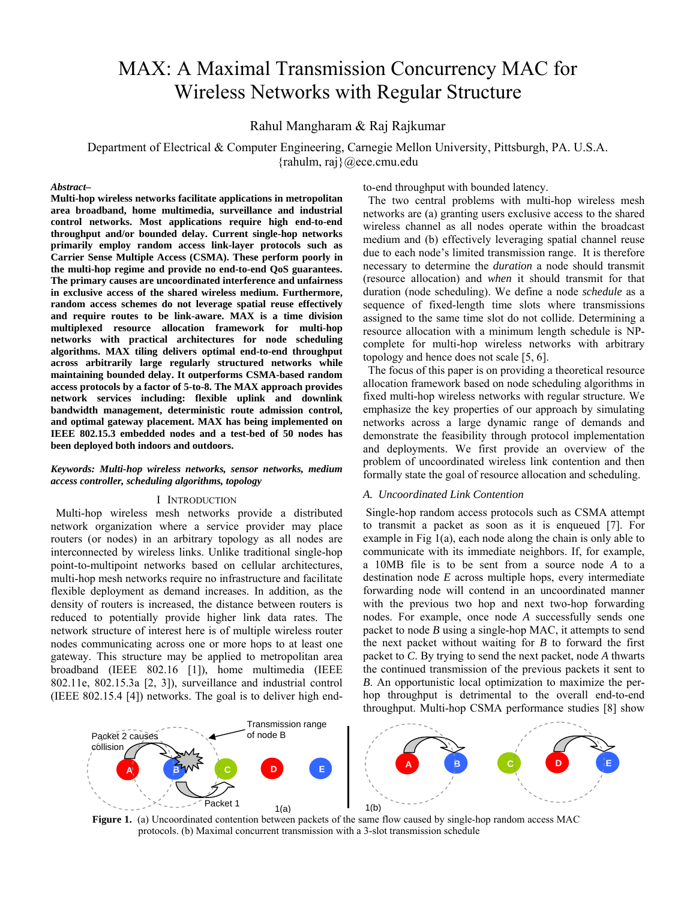# MAX: A Maximal Transmission Concurrency MAC for Wireless Networks with Regular Structure

Rahul Mangharam & Raj Rajkumar

Department of Electrical & Computer Engineering, Carnegie Mellon University, Pittsburgh, PA. U.S.A. {rahulm, raj}@ece.cmu.edu

#### *Abstract–*

**Multi-hop wireless networks facilitate applications in metropolitan area broadband, home multimedia, surveillance and industrial control networks. Most applications require high end-to-end throughput and/or bounded delay. Current single-hop networks primarily employ random access link-layer protocols such as Carrier Sense Multiple Access (CSMA). These perform poorly in the multi-hop regime and provide no end-to-end QoS guarantees. The primary causes are uncoordinated interference and unfairness in exclusive access of the shared wireless medium. Furthermore, random access schemes do not leverage spatial reuse effectively and require routes to be link-aware. MAX is a time division multiplexed resource allocation framework for multi-hop networks with practical architectures for node scheduling algorithms. MAX tiling delivers optimal end-to-end throughput across arbitrarily large regularly structured networks while maintaining bounded delay. It outperforms CSMA-based random access protocols by a factor of 5-to-8. The MAX approach provides network services including: flexible uplink and downlink bandwidth management, deterministic route admission control, and optimal gateway placement. MAX has being implemented on IEEE 802.15.3 embedded nodes and a test-bed of 50 nodes has been deployed both indoors and outdoors.** 

#### *Keywords: Multi-hop wireless networks, sensor networks, medium access controller, scheduling algorithms, topology*

#### I INTRODUCTION

Multi-hop wireless mesh networks provide a distributed network organization where a service provider may place routers (or nodes) in an arbitrary topology as all nodes are interconnected by wireless links. Unlike traditional single-hop point-to-multipoint networks based on cellular architectures, multi-hop mesh networks require no infrastructure and facilitate flexible deployment as demand increases. In addition, as the density of routers is increased, the distance between routers is reduced to potentially provide higher link data rates. The network structure of interest here is of multiple wireless router nodes communicating across one or more hops to at least one gateway. This structure may be applied to metropolitan area broadband (IEEE 802.16 [1]), home multimedia (IEEE 802.11e, 802.15.3a [2, 3]), surveillance and industrial control (IEEE 802.15.4 [4]) networks. The goal is to deliver high endto-end throughput with bounded latency.

The two central problems with multi-hop wireless mesh networks are (a) granting users exclusive access to the shared wireless channel as all nodes operate within the broadcast medium and (b) effectively leveraging spatial channel reuse due to each node's limited transmission range. It is therefore necessary to determine the *duration* a node should transmit (resource allocation) and *when* it should transmit for that duration (node scheduling). We define a node *schedule* as a sequence of fixed-length time slots where transmissions assigned to the same time slot do not collide. Determining a resource allocation with a minimum length schedule is NPcomplete for multi-hop wireless networks with arbitrary topology and hence does not scale [5, 6].

The focus of this paper is on providing a theoretical resource allocation framework based on node scheduling algorithms in fixed multi-hop wireless networks with regular structure. We emphasize the key properties of our approach by simulating networks across a large dynamic range of demands and demonstrate the feasibility through protocol implementation and deployments. We first provide an overview of the problem of uncoordinated wireless link contention and then formally state the goal of resource allocation and scheduling.

#### *A. Uncoordinated Link Contention*

 Single-hop random access protocols such as CSMA attempt to transmit a packet as soon as it is enqueued [7]. For example in Fig 1(a), each node along the chain is only able to communicate with its immediate neighbors. If, for example, a 10MB file is to be sent from a source node *A* to a destination node *E* across multiple hops, every intermediate forwarding node will contend in an uncoordinated manner with the previous two hop and next two-hop forwarding nodes. For example, once node *A* successfully sends one packet to node *B* using a single-hop MAC, it attempts to send the next packet without waiting for *B* to forward the first packet to *C*. By trying to send the next packet, node *A* thwarts the continued transmission of the previous packets it sent to *B*. An opportunistic local optimization to maximize the perhop throughput is detrimental to the overall end-to-end throughput. Multi-hop CSMA performance studies [8] show



**Figure 1.** (a) Uncoordinated contention between packets of the same flow caused by single-hop random access MAC protocols. (b) Maximal concurrent transmission with a 3-slot transmission schedule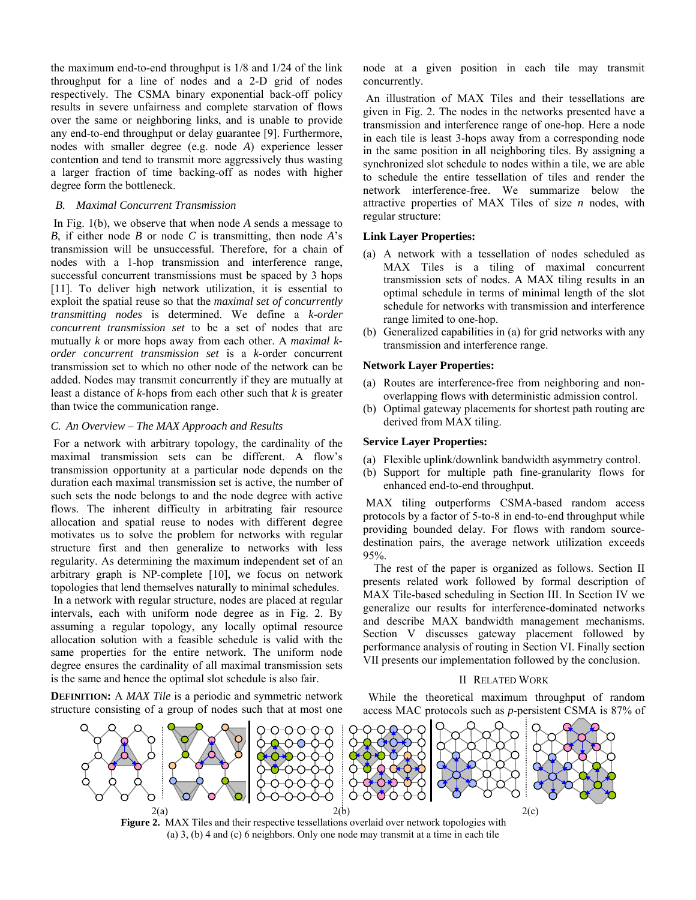the maximum end-to-end throughput is 1/8 and 1/24 of the link throughput for a line of nodes and a 2-D grid of nodes respectively. The CSMA binary exponential back-off policy results in severe unfairness and complete starvation of flows over the same or neighboring links, and is unable to provide any end-to-end throughput or delay guarantee [9]. Furthermore, nodes with smaller degree (e.g. node *A*) experience lesser contention and tend to transmit more aggressively thus wasting a larger fraction of time backing-off as nodes with higher degree form the bottleneck.

#### *B. Maximal Concurrent Transmission*

 In Fig. 1(b), we observe that when node *A* sends a message to *B*, if either node *B* or node *C* is transmitting, then node *A*'s transmission will be unsuccessful. Therefore, for a chain of nodes with a 1-hop transmission and interference range, successful concurrent transmissions must be spaced by 3 hops [11]. To deliver high network utilization, it is essential to exploit the spatial reuse so that the *maximal set of concurrently transmitting nodes* is determined. We define a *k-order concurrent transmission set* to be a set of nodes that are mutually *k* or more hops away from each other. A *maximal korder concurrent transmission set* is a *k*-order concurrent transmission set to which no other node of the network can be added. Nodes may transmit concurrently if they are mutually at least a distance of *k*-hops from each other such that *k* is greater than twice the communication range.

### *C. An Overview – The MAX Approach and Results*

 For a network with arbitrary topology, the cardinality of the maximal transmission sets can be different. A flow's transmission opportunity at a particular node depends on the duration each maximal transmission set is active, the number of such sets the node belongs to and the node degree with active flows. The inherent difficulty in arbitrating fair resource allocation and spatial reuse to nodes with different degree motivates us to solve the problem for networks with regular structure first and then generalize to networks with less regularity. As determining the maximum independent set of an arbitrary graph is NP-complete [10], we focus on network topologies that lend themselves naturally to minimal schedules. In a network with regular structure, nodes are placed at regular intervals, each with uniform node degree as in Fig. 2. By assuming a regular topology, any locally optimal resource allocation solution with a feasible schedule is valid with the same properties for the entire network. The uniform node degree ensures the cardinality of all maximal transmission sets is the same and hence the optimal slot schedule is also fair.

**DEFINITION:** A *MAX Tile* is a periodic and symmetric network structure consisting of a group of nodes such that at most one

node at a given position in each tile may transmit concurrently.

 An illustration of MAX Tiles and their tessellations are given in Fig. 2. The nodes in the networks presented have a transmission and interference range of one-hop. Here a node in each tile is least 3-hops away from a corresponding node in the same position in all neighboring tiles. By assigning a synchronized slot schedule to nodes within a tile, we are able to schedule the entire tessellation of tiles and render the network interference-free. We summarize below the attractive properties of MAX Tiles of size *n* nodes, with regular structure:

#### **Link Layer Properties:**

- (a) A network with a tessellation of nodes scheduled as MAX Tiles is a tiling of maximal concurrent transmission sets of nodes. A MAX tiling results in an optimal schedule in terms of minimal length of the slot schedule for networks with transmission and interference range limited to one-hop.
- (b) Generalized capabilities in (a) for grid networks with any transmission and interference range.

#### **Network Layer Properties:**

- (a) Routes are interference-free from neighboring and nonoverlapping flows with deterministic admission control.
- (b) Optimal gateway placements for shortest path routing are derived from MAX tiling.

#### **Service Layer Properties:**

- (a) Flexible uplink/downlink bandwidth asymmetry control.
- (b) Support for multiple path fine-granularity flows for enhanced end-to-end throughput.

 MAX tiling outperforms CSMA-based random access protocols by a factor of 5-to-8 in end-to-end throughput while providing bounded delay. For flows with random sourcedestination pairs, the average network utilization exceeds 95%.

 The rest of the paper is organized as follows. Section II presents related work followed by formal description of MAX Tile-based scheduling in Section III. In Section IV we generalize our results for interference-dominated networks and describe MAX bandwidth management mechanisms. Section V discusses gateway placement followed by performance analysis of routing in Section VI. Finally section VII presents our implementation followed by the conclusion.

#### II RELATED WORK

While the theoretical maximum throughput of random access MAC protocols such as *p*-persistent CSMA is 87% of



**Figure 2.** MAX Tiles and their respective tessellations overlaid over network topologies with (a) 3, (b) 4 and (c) 6 neighbors. Only one node may transmit at a time in each tile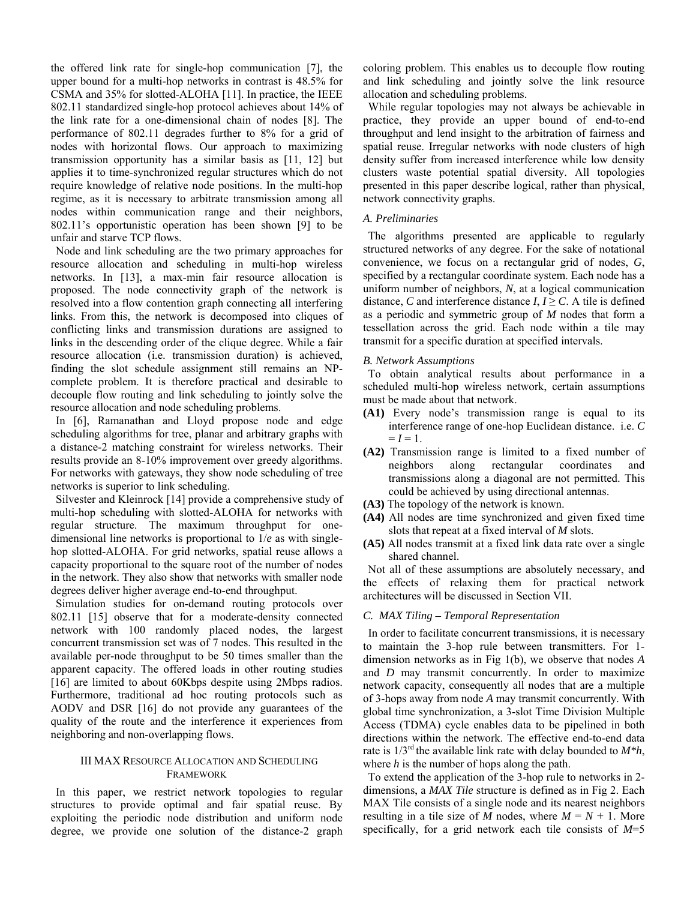the offered link rate for single-hop communication [7], the upper bound for a multi-hop networks in contrast is 48.5% for CSMA and 35% for slotted-ALOHA [11]. In practice, the IEEE 802.11 standardized single-hop protocol achieves about 14% of the link rate for a one-dimensional chain of nodes [8]. The performance of 802.11 degrades further to 8% for a grid of nodes with horizontal flows. Our approach to maximizing transmission opportunity has a similar basis as [11, 12] but applies it to time-synchronized regular structures which do not require knowledge of relative node positions. In the multi-hop regime, as it is necessary to arbitrate transmission among all nodes within communication range and their neighbors, 802.11's opportunistic operation has been shown [9] to be unfair and starve TCP flows.

Node and link scheduling are the two primary approaches for resource allocation and scheduling in multi-hop wireless networks. In [13], a max-min fair resource allocation is proposed. The node connectivity graph of the network is resolved into a flow contention graph connecting all interfering links. From this, the network is decomposed into cliques of conflicting links and transmission durations are assigned to links in the descending order of the clique degree. While a fair resource allocation (i.e. transmission duration) is achieved, finding the slot schedule assignment still remains an NPcomplete problem. It is therefore practical and desirable to decouple flow routing and link scheduling to jointly solve the resource allocation and node scheduling problems.

In [6], Ramanathan and Lloyd propose node and edge scheduling algorithms for tree, planar and arbitrary graphs with a distance-2 matching constraint for wireless networks. Their results provide an 8-10% improvement over greedy algorithms. For networks with gateways, they show node scheduling of tree networks is superior to link scheduling.

Silvester and Kleinrock [14] provide a comprehensive study of multi-hop scheduling with slotted-ALOHA for networks with regular structure. The maximum throughput for onedimensional line networks is proportional to 1/*e* as with singlehop slotted-ALOHA. For grid networks, spatial reuse allows a capacity proportional to the square root of the number of nodes in the network. They also show that networks with smaller node degrees deliver higher average end-to-end throughput.

Simulation studies for on-demand routing protocols over 802.11 [15] observe that for a moderate-density connected network with 100 randomly placed nodes, the largest concurrent transmission set was of 7 nodes. This resulted in the available per-node throughput to be 50 times smaller than the apparent capacity. The offered loads in other routing studies [16] are limited to about 60Kbps despite using 2Mbps radios. Furthermore, traditional ad hoc routing protocols such as AODV and DSR [16] do not provide any guarantees of the quality of the route and the interference it experiences from neighboring and non-overlapping flows.

#### III MAX RESOURCE ALLOCATION AND SCHEDULING FRAMEWORK

In this paper, we restrict network topologies to regular structures to provide optimal and fair spatial reuse. By exploiting the periodic node distribution and uniform node degree, we provide one solution of the distance-2 graph

coloring problem. This enables us to decouple flow routing and link scheduling and jointly solve the link resource allocation and scheduling problems.

While regular topologies may not always be achievable in practice, they provide an upper bound of end-to-end throughput and lend insight to the arbitration of fairness and spatial reuse. Irregular networks with node clusters of high density suffer from increased interference while low density clusters waste potential spatial diversity. All topologies presented in this paper describe logical, rather than physical, network connectivity graphs.

#### *A. Preliminaries*

The algorithms presented are applicable to regularly structured networks of any degree. For the sake of notational convenience, we focus on a rectangular grid of nodes, *G*, specified by a rectangular coordinate system. Each node has a uniform number of neighbors, *N*, at a logical communication distance, *C* and interference distance *I*,  $I \ge C$ . A tile is defined as a periodic and symmetric group of *M* nodes that form a tessellation across the grid. Each node within a tile may transmit for a specific duration at specified intervals.

#### *B. Network Assumptions*

To obtain analytical results about performance in a scheduled multi-hop wireless network, certain assumptions must be made about that network.

- **(A1)** Every node's transmission range is equal to its interference range of one-hop Euclidean distance. i.e. *C*  $= I = 1.$
- **(A2)** Transmission range is limited to a fixed number of neighbors along rectangular coordinates and transmissions along a diagonal are not permitted. This could be achieved by using directional antennas.
- **(A3)** The topology of the network is known.
- **(A4)** All nodes are time synchronized and given fixed time slots that repeat at a fixed interval of *M* slots.
- **(A5)** All nodes transmit at a fixed link data rate over a single shared channel.

Not all of these assumptions are absolutely necessary, and the effects of relaxing them for practical network architectures will be discussed in Section VII.

#### *C. MAX Tiling – Temporal Representation*

In order to facilitate concurrent transmissions, it is necessary to maintain the 3-hop rule between transmitters. For 1 dimension networks as in Fig 1(b), we observe that nodes *A* and *D* may transmit concurrently. In order to maximize network capacity, consequently all nodes that are a multiple of 3-hops away from node *A* may transmit concurrently. With global time synchronization, a 3-slot Time Division Multiple Access (TDMA) cycle enables data to be pipelined in both directions within the network. The effective end-to-end data rate is  $1/3^{rd}$  the available link rate with delay bounded to  $M^*h$ , where *h* is the number of hops along the path.

To extend the application of the 3-hop rule to networks in 2 dimensions, a *MAX Tile* structure is defined as in Fig 2. Each MAX Tile consists of a single node and its nearest neighbors resulting in a tile size of *M* nodes, where  $M = N + 1$ . More specifically, for a grid network each tile consists of *M*=5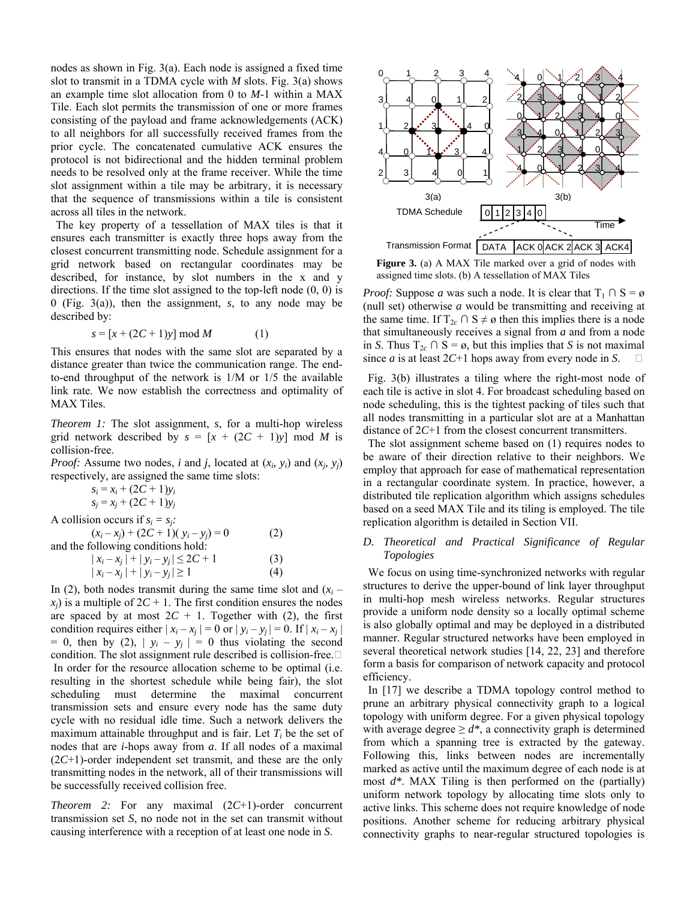nodes as shown in Fig. 3(a). Each node is assigned a fixed time slot to transmit in a TDMA cycle with *M* slots. Fig. 3(a) shows an example time slot allocation from 0 to *M*-1 within a MAX Tile. Each slot permits the transmission of one or more frames consisting of the payload and frame acknowledgements (ACK) to all neighbors for all successfully received frames from the prior cycle. The concatenated cumulative ACK ensures the protocol is not bidirectional and the hidden terminal problem needs to be resolved only at the frame receiver. While the time slot assignment within a tile may be arbitrary, it is necessary that the sequence of transmissions within a tile is consistent across all tiles in the network.

The key property of a tessellation of MAX tiles is that it ensures each transmitter is exactly three hops away from the closest concurrent transmitting node. Schedule assignment for a grid network based on rectangular coordinates may be described, for instance, by slot numbers in the x and y directions. If the time slot assigned to the top-left node (0, 0) is 0 (Fig. 3(a)), then the assignment, *s*, to any node may be described by:

$$
s = [x + (2C + 1)y] \bmod M \tag{1}
$$

This ensures that nodes with the same slot are separated by a distance greater than twice the communication range. The endto-end throughput of the network is 1/M or 1/5 the available link rate. We now establish the correctness and optimality of MAX Tiles.

*Theorem 1:* The slot assignment, *s*, for a multi-hop wireless grid network described by  $s = [x + (2C + 1)y] \mod M$  is collision-free.

*Proof:* Assume two nodes, *i* and *j*, located at  $(x_i, y_i)$  and  $(x_j, y_j)$ respectively, are assigned the same time slots:

> $s_i = x_i + (2C + 1)y_i$  $s_i = x_i + (2C + 1)y_i$

A collision occurs if  $s_i = s_j$ .

| $(x_i - x_j) + (2C + 1)(y_i - y_j) = 0$ | (2) |
|-----------------------------------------|-----|
| and the following conditions hold:      |     |
| $ x_i - x_j  +  y_i - y_j  \le 2C + 1$  | (3) |

| $ \lambda_i - \lambda_j $ $\top$ $ y_i - y_j $ $\geq$ $\angle$ $\top$ 1 | (2) |
|-------------------------------------------------------------------------|-----|
| $ x_i - x_j  +  y_i - y_j  \ge 1$                                       | (4) |

In (2), both nodes transmit during the same time slot and  $(x<sub>i</sub>$  $x_i$ ) is a multiple of  $2C + 1$ . The first condition ensures the nodes are spaced by at most  $2C + 1$ . Together with (2), the first condition requires either  $|x_i - x_j| = 0$  or  $|y_i - y_j| = 0$ . If  $|x_i - x_j|$  $= 0$ , then by (2),  $|y_i - y_j| = 0$  thus violating the second condition. The slot assignment rule described is collision-free. In order for the resource allocation scheme to be optimal (i.e. resulting in the shortest schedule while being fair), the slot scheduling must determine the maximal concurrent transmission sets and ensure every node has the same duty cycle with no residual idle time. Such a network delivers the maximum attainable throughput and is fair. Let  $T_i$  be the set of nodes that are *i*-hops away from *a*. If all nodes of a maximal (2*C*+1)-order independent set transmit, and these are the only transmitting nodes in the network, all of their transmissions will be successfully received collision free.

*Theorem 2:* For any maximal (2*C*+1)-order concurrent transmission set *S*, no node not in the set can transmit without causing interference with a reception of at least one node in *S*.



Figure 3. (a) A MAX Tile marked over a grid of nodes with assigned time slots. (b) A tessellation of MAX Tiles

*Proof:* Suppose *a* was such a node. It is clear that  $T_1 \cap S = \emptyset$ (null set) otherwise *a* would be transmitting and receiving at the same time. If  $T_{2c} \cap S \neq \emptyset$  then this implies there is a node that simultaneously receives a signal from *a* and from a node in *S*. Thus  $T_{2c} \cap S = \emptyset$ , but this implies that *S* is not maximal since *a* is at least 2*C*+1 hops away from every node in *S*.

Fig. 3(b) illustrates a tiling where the right-most node of each tile is active in slot 4. For broadcast scheduling based on node scheduling, this is the tightest packing of tiles such that all nodes transmitting in a particular slot are at a Manhattan distance of 2*C*+1 from the closest concurrent transmitters.

The slot assignment scheme based on (1) requires nodes to be aware of their direction relative to their neighbors. We employ that approach for ease of mathematical representation in a rectangular coordinate system. In practice, however, a distributed tile replication algorithm which assigns schedules based on a seed MAX Tile and its tiling is employed. The tile replication algorithm is detailed in Section VII.

#### *D. Theoretical and Practical Significance of Regular Topologies*

We focus on using time-synchronized networks with regular structures to derive the upper-bound of link layer throughput in multi-hop mesh wireless networks. Regular structures provide a uniform node density so a locally optimal scheme is also globally optimal and may be deployed in a distributed manner. Regular structured networks have been employed in several theoretical network studies [14, 22, 23] and therefore form a basis for comparison of network capacity and protocol efficiency.

In [17] we describe a TDMA topology control method to prune an arbitrary physical connectivity graph to a logical topology with uniform degree. For a given physical topology with average degree  $\geq d^*$ , a connectivity graph is determined from which a spanning tree is extracted by the gateway. Following this, links between nodes are incrementally marked as active until the maximum degree of each node is at most *d\**. MAX Tiling is then performed on the (partially) uniform network topology by allocating time slots only to active links. This scheme does not require knowledge of node positions. Another scheme for reducing arbitrary physical connectivity graphs to near-regular structured topologies is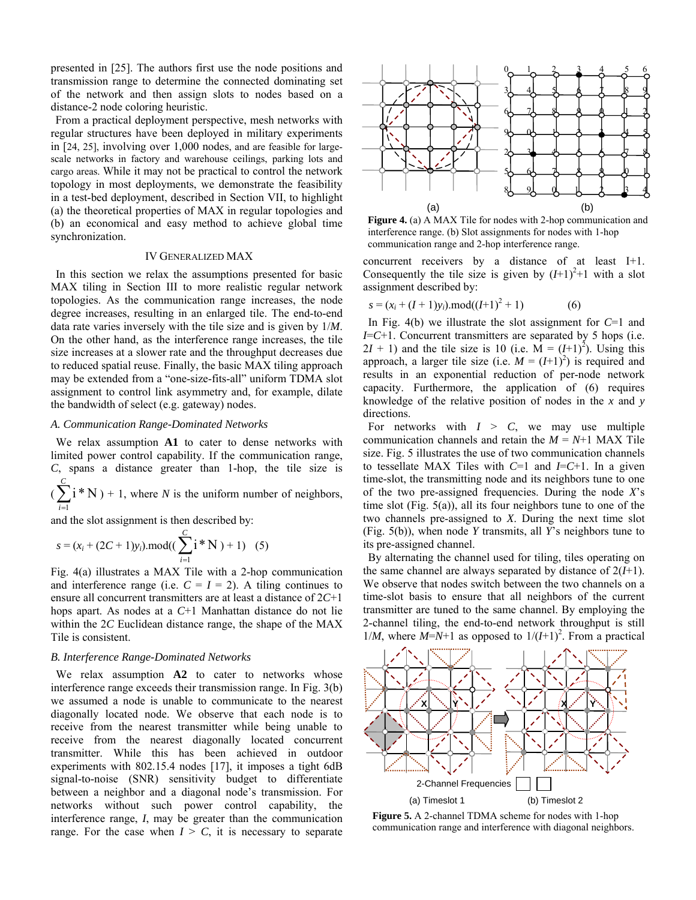presented in [25]. The authors first use the node positions and transmission range to determine the connected dominating set of the network and then assign slots to nodes based on a distance-2 node coloring heuristic.

From a practical deployment perspective, mesh networks with regular structures have been deployed in military experiments in [24, 25], involving over 1,000 nodes, and are feasible for largescale networks in factory and warehouse ceilings, parking lots and cargo areas. While it may not be practical to control the network topology in most deployments, we demonstrate the feasibility in a test-bed deployment, described in Section VII, to highlight (a) the theoretical properties of MAX in regular topologies and (b) an economical and easy method to achieve global time synchronization.

#### IV GENERALIZED MAX

In this section we relax the assumptions presented for basic MAX tiling in Section III to more realistic regular network topologies. As the communication range increases, the node degree increases, resulting in an enlarged tile. The end-to-end data rate varies inversely with the tile size and is given by 1/*M*. On the other hand, as the interference range increases, the tile size increases at a slower rate and the throughput decreases due to reduced spatial reuse. Finally, the basic MAX tiling approach may be extended from a "one-size-fits-all" uniform TDMA slot assignment to control link asymmetry and, for example, dilate the bandwidth of select (e.g. gateway) nodes.

#### *A. Communication Range-Dominated Networks*

We relax assumption **A1** to cater to dense networks with limited power control capability. If the communication range, *C*, spans a distance greater than 1-hop, the tile size is

 $\big(\sum_{i=1}^C$  $i=1$  $i * N$ ) + 1, where *N* is the uniform number of neighbors,

and the slot assignment is then described by:

$$
s = (x_i + (2C + 1)y_i) \cdot mod((\sum_{i=1}^{C} i * N) + 1) (5)
$$

Fig. 4(a) illustrates a MAX Tile with a 2-hop communication and interference range (i.e.  $C = I = 2$ ). A tiling continues to ensure all concurrent transmitters are at least a distance of 2*C*+1 hops apart. As nodes at a *C*+1 Manhattan distance do not lie within the 2*C* Euclidean distance range, the shape of the MAX Tile is consistent.

#### *B. Interference Range-Dominated Networks*

We relax assumption **A2** to cater to networks whose interference range exceeds their transmission range. In Fig. 3(b) we assumed a node is unable to communicate to the nearest diagonally located node. We observe that each node is to receive from the nearest transmitter while being unable to receive from the nearest diagonally located concurrent transmitter. While this has been achieved in outdoor experiments with 802.15.4 nodes [17], it imposes a tight 6dB signal-to-noise (SNR) sensitivity budget to differentiate between a neighbor and a diagonal node's transmission. For networks without such power control capability, the interference range, *I*, may be greater than the communication range. For the case when  $I > C$ , it is necessary to separate



**Figure 4.** (a) A MAX Tile for nodes with 2-hop communication and interference range. (b) Slot assignments for nodes with 1-hop communication range and 2-hop interference range.

concurrent receivers by a distance of at least I+1. Consequently the tile size is given by  $(I+1)^2+1$  with a slot assignment described by:

$$
s = (x_i + (I + 1)y_i) \cdot mod((I + 1)^2 + 1)
$$
 (6)

In Fig. 4(b) we illustrate the slot assignment for *C*=1 and *I*=*C*+1. Concurrent transmitters are separated by 5 hops (i.e.  $2I + 1$ ) and the tile size is 10 (i.e.  $\overrightarrow{M} = (I+1)^2$ ). Using this approach, a larger tile size (i.e.  $M = (I+1)^2$ ) is required and results in an exponential reduction of per-node network capacity. Furthermore, the application of (6) requires knowledge of the relative position of nodes in the *x* and *y* directions.

For networks with  $I > C$ , we may use multiple communication channels and retain the  $M = N+1$  MAX Tile size. Fig. 5 illustrates the use of two communication channels to tessellate MAX Tiles with *C*=1 and *I*=*C*+1. In a given time-slot, the transmitting node and its neighbors tune to one of the two pre-assigned frequencies. During the node *X*'s time slot (Fig. 5(a)), all its four neighbors tune to one of the two channels pre-assigned to *X*. During the next time slot (Fig. 5(b)), when node *Y* transmits, all *Y*'s neighbors tune to its pre-assigned channel.

By alternating the channel used for tiling, tiles operating on the same channel are always separated by distance of 2(*I*+1). We observe that nodes switch between the two channels on a time-slot basis to ensure that all neighbors of the current transmitter are tuned to the same channel. By employing the 2-channel tiling, the end-to-end network throughput is still  $1/M$ , where  $M=N+1$  as opposed to  $1/(I+1)^2$ . From a practical



**Figure 5.** A 2-channel TDMA scheme for nodes with 1-hop communication range and interference with diagonal neighbors.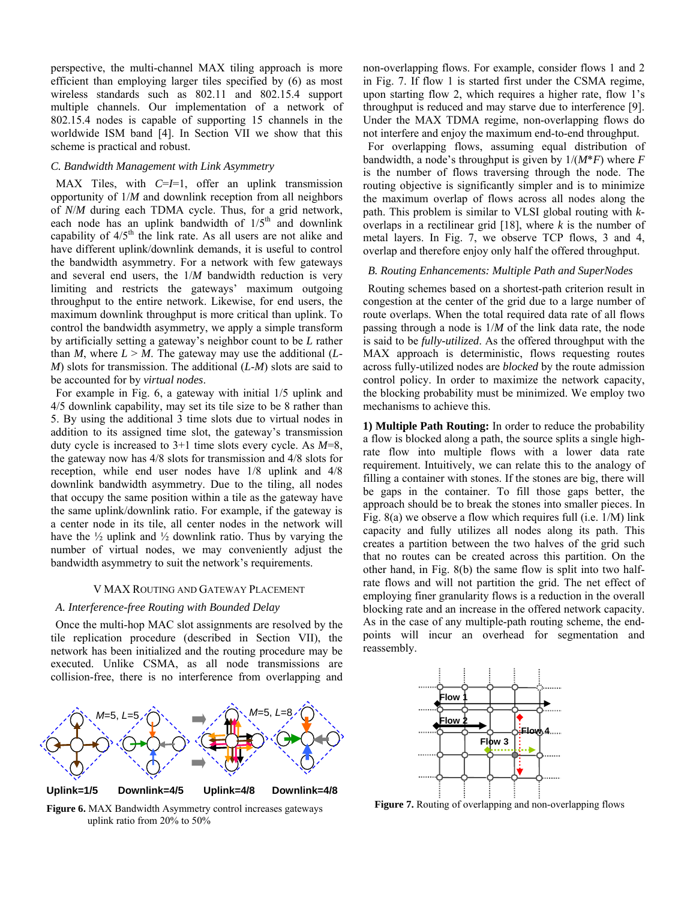perspective, the multi-channel MAX tiling approach is more efficient than employing larger tiles specified by (6) as most wireless standards such as 802.11 and 802.15.4 support multiple channels. Our implementation of a network of 802.15.4 nodes is capable of supporting 15 channels in the worldwide ISM band [4]. In Section VII we show that this scheme is practical and robust.

#### *C. Bandwidth Management with Link Asymmetry*

MAX Tiles, with C=I=1, offer an uplink transmission opportunity of 1/*M* and downlink reception from all neighbors of *N*/*M* during each TDMA cycle. Thus, for a grid network, each node has an uplink bandwidth of  $1/5<sup>th</sup>$  and downlink capability of  $4/5<sup>th</sup>$  the link rate. As all users are not alike and have different uplink/downlink demands, it is useful to control the bandwidth asymmetry. For a network with few gateways and several end users, the 1/*M* bandwidth reduction is very limiting and restricts the gateways' maximum outgoing throughput to the entire network. Likewise, for end users, the maximum downlink throughput is more critical than uplink. To control the bandwidth asymmetry, we apply a simple transform by artificially setting a gateway's neighbor count to be *L* rather than *M*, where  $L > M$ . The gateway may use the additional (*L*-*M*) slots for transmission. The additional (*L*-*M*) slots are said to be accounted for by *virtual nodes*.

For example in Fig. 6, a gateway with initial 1/5 uplink and 4/5 downlink capability, may set its tile size to be 8 rather than 5. By using the additional 3 time slots due to virtual nodes in addition to its assigned time slot, the gateway's transmission duty cycle is increased to 3+1 time slots every cycle. As *M*=8, the gateway now has 4/8 slots for transmission and 4/8 slots for reception, while end user nodes have 1/8 uplink and 4/8 downlink bandwidth asymmetry. Due to the tiling, all nodes that occupy the same position within a tile as the gateway have the same uplink/downlink ratio. For example, if the gateway is a center node in its tile, all center nodes in the network will have the  $\frac{1}{2}$  uplink and  $\frac{1}{2}$  downlink ratio. Thus by varying the number of virtual nodes, we may conveniently adjust the bandwidth asymmetry to suit the network's requirements.

#### V MAX ROUTING AND GATEWAY PLACEMENT

#### *A. Interference-free Routing with Bounded Delay*

Once the multi-hop MAC slot assignments are resolved by the tile replication procedure (described in Section VII), the network has been initialized and the routing procedure may be executed. Unlike CSMA, as all node transmissions are collision-free, there is no interference from overlapping and



**Figure 6.** MAX Bandwidth Asymmetry control increases gateways uplink ratio from 20% to 50%

non-overlapping flows. For example, consider flows 1 and 2 in Fig. 7. If flow 1 is started first under the CSMA regime, upon starting flow 2, which requires a higher rate, flow 1's throughput is reduced and may starve due to interference [9]. Under the MAX TDMA regime, non-overlapping flows do not interfere and enjoy the maximum end-to-end throughput.

For overlapping flows, assuming equal distribution of bandwidth, a node's throughput is given by 1/(*M*\**F*) where *F* is the number of flows traversing through the node. The routing objective is significantly simpler and is to minimize the maximum overlap of flows across all nodes along the path. This problem is similar to VLSI global routing with *k*overlaps in a rectilinear grid [18], where *k* is the number of metal layers. In Fig. 7, we observe TCP flows, 3 and 4, overlap and therefore enjoy only half the offered throughput.

#### *B. Routing Enhancements: Multiple Path and SuperNodes*

Routing schemes based on a shortest-path criterion result in congestion at the center of the grid due to a large number of route overlaps. When the total required data rate of all flows passing through a node is 1/*M* of the link data rate, the node is said to be *fully-utilized*. As the offered throughput with the MAX approach is deterministic, flows requesting routes across fully-utilized nodes are *blocked* by the route admission control policy. In order to maximize the network capacity, the blocking probability must be minimized. We employ two mechanisms to achieve this.

**1) Multiple Path Routing:** In order to reduce the probability a flow is blocked along a path, the source splits a single highrate flow into multiple flows with a lower data rate requirement. Intuitively, we can relate this to the analogy of filling a container with stones. If the stones are big, there will be gaps in the container. To fill those gaps better, the approach should be to break the stones into smaller pieces. In Fig. 8(a) we observe a flow which requires full (i.e. 1/M) link capacity and fully utilizes all nodes along its path. This creates a partition between the two halves of the grid such that no routes can be created across this partition. On the other hand, in Fig. 8(b) the same flow is split into two halfrate flows and will not partition the grid. The net effect of employing finer granularity flows is a reduction in the overall blocking rate and an increase in the offered network capacity. As in the case of any multiple-path routing scheme, the endpoints will incur an overhead for segmentation and reassembly.



**Figure 7.** Routing of overlapping and non-overlapping flows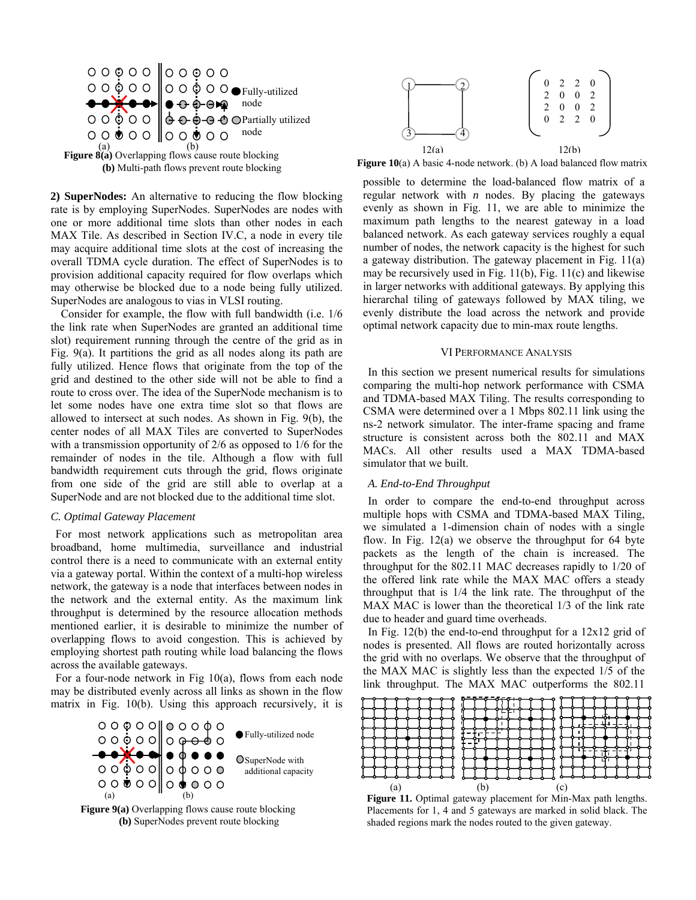



**2) SuperNodes:** An alternative to reducing the flow blocking rate is by employing SuperNodes. SuperNodes are nodes with one or more additional time slots than other nodes in each MAX Tile. As described in Section IV.C, a node in every tile may acquire additional time slots at the cost of increasing the overall TDMA cycle duration. The effect of SuperNodes is to provision additional capacity required for flow overlaps which may otherwise be blocked due to a node being fully utilized. SuperNodes are analogous to vias in VLSI routing.

Consider for example, the flow with full bandwidth (i.e. 1/6 the link rate when SuperNodes are granted an additional time slot) requirement running through the centre of the grid as in Fig. 9(a). It partitions the grid as all nodes along its path are fully utilized. Hence flows that originate from the top of the grid and destined to the other side will not be able to find a route to cross over. The idea of the SuperNode mechanism is to let some nodes have one extra time slot so that flows are allowed to intersect at such nodes. As shown in Fig. 9(b), the center nodes of all MAX Tiles are converted to SuperNodes with a transmission opportunity of 2/6 as opposed to 1/6 for the remainder of nodes in the tile. Although a flow with full bandwidth requirement cuts through the grid, flows originate from one side of the grid are still able to overlap at a SuperNode and are not blocked due to the additional time slot.

#### *C. Optimal Gateway Placement*

For most network applications such as metropolitan area broadband, home multimedia, surveillance and industrial control there is a need to communicate with an external entity via a gateway portal. Within the context of a multi-hop wireless network, the gateway is a node that interfaces between nodes in the network and the external entity. As the maximum link throughput is determined by the resource allocation methods mentioned earlier, it is desirable to minimize the number of overlapping flows to avoid congestion. This is achieved by employing shortest path routing while load balancing the flows across the available gateways.

For a four-node network in Fig 10(a), flows from each node may be distributed evenly across all links as shown in the flow matrix in Fig. 10(b). Using this approach recursively, it is







**Figure 10**(a) A basic 4-node network. (b) A load balanced flow matrix

possible to determine the load-balanced flow matrix of a regular network with *n* nodes. By placing the gateways evenly as shown in Fig. 11, we are able to minimize the maximum path lengths to the nearest gateway in a load balanced network. As each gateway services roughly a equal number of nodes, the network capacity is the highest for such a gateway distribution. The gateway placement in Fig. 11(a) may be recursively used in Fig. 11(b), Fig. 11(c) and likewise in larger networks with additional gateways. By applying this hierarchal tiling of gateways followed by MAX tiling, we evenly distribute the load across the network and provide optimal network capacity due to min-max route lengths.

#### VI PERFORMANCE ANALYSIS

In this section we present numerical results for simulations comparing the multi-hop network performance with CSMA and TDMA-based MAX Tiling. The results corresponding to CSMA were determined over a 1 Mbps 802.11 link using the ns-2 network simulator. The inter-frame spacing and frame structure is consistent across both the 802.11 and MAX MACs. All other results used a MAX TDMA-based simulator that we built.

#### *A. End-to-End Throughput*

In order to compare the end-to-end throughput across multiple hops with CSMA and TDMA-based MAX Tiling, we simulated a 1-dimension chain of nodes with a single flow. In Fig.  $12(a)$  we observe the throughput for 64 byte packets as the length of the chain is increased. The throughput for the 802.11 MAC decreases rapidly to 1/20 of the offered link rate while the MAX MAC offers a steady throughput that is 1/4 the link rate. The throughput of the MAX MAC is lower than the theoretical 1/3 of the link rate due to header and guard time overheads.

In Fig.  $12(b)$  the end-to-end throughput for a  $12x12$  grid of nodes is presented. All flows are routed horizontally across the grid with no overlaps. We observe that the throughput of the MAX MAC is slightly less than the expected 1/5 of the link throughput. The MAX MAC outperforms the 802.11



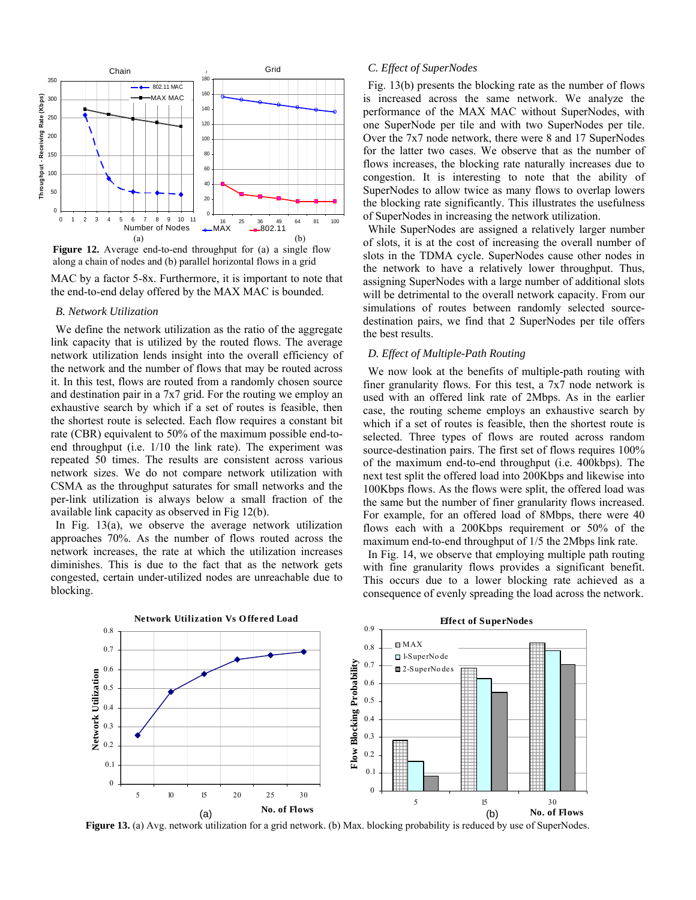

**Figure 12.** Average end-to-end throughput for (a) a single flow along a chain of nodes and (b) parallel horizontal flows in a grid

MAC by a factor 5-8x. Furthermore, it is important to note that the end-to-end delay offered by the MAX MAC is bounded.

#### *B. Network Utilization*

We define the network utilization as the ratio of the aggregate link capacity that is utilized by the routed flows. The average network utilization lends insight into the overall efficiency of the network and the number of flows that may be routed across it. In this test, flows are routed from a randomly chosen source and destination pair in a 7x7 grid. For the routing we employ an exhaustive search by which if a set of routes is feasible, then the shortest route is selected. Each flow requires a constant bit rate (CBR) equivalent to 50% of the maximum possible end-toend throughput (i.e. 1/10 the link rate). The experiment was repeated 50 times. The results are consistent across various network sizes. We do not compare network utilization with CSMA as the throughput saturates for small networks and the per-link utilization is always below a small fraction of the available link capacity as observed in Fig 12(b).

In Fig. 13(a), we observe the average network utilization approaches 70%. As the number of flows routed across the network increases, the rate at which the utilization increases diminishes. This is due to the fact that as the network gets congested, certain under-utilized nodes are unreachable due to blocking.

#### *C. Effect of SuperNodes*

Fig. 13(b) presents the blocking rate as the number of flows is increased across the same network. We analyze the performance of the MAX MAC without SuperNodes, with one SuperNode per tile and with two SuperNodes per tile. Over the 7x7 node network, there were 8 and 17 SuperNodes for the latter two cases. We observe that as the number of flows increases, the blocking rate naturally increases due to congestion. It is interesting to note that the ability of SuperNodes to allow twice as many flows to overlap lowers the blocking rate significantly. This illustrates the usefulness of SuperNodes in increasing the network utilization.

While SuperNodes are assigned a relatively larger number of slots, it is at the cost of increasing the overall number of slots in the TDMA cycle. SuperNodes cause other nodes in the network to have a relatively lower throughput. Thus, assigning SuperNodes with a large number of additional slots will be detrimental to the overall network capacity. From our simulations of routes between randomly selected sourcedestination pairs, we find that 2 SuperNodes per tile offers the best results.

#### *D. Effect of Multiple-Path Routing*

We now look at the benefits of multiple-path routing with finer granularity flows. For this test, a 7x7 node network is used with an offered link rate of 2Mbps. As in the earlier case, the routing scheme employs an exhaustive search by which if a set of routes is feasible, then the shortest route is selected. Three types of flows are routed across random source-destination pairs. The first set of flows requires 100% of the maximum end-to-end throughput (i.e. 400kbps). The next test split the offered load into 200Kbps and likewise into 100Kbps flows. As the flows were split, the offered load was the same but the number of finer granularity flows increased. For example, for an offered load of 8Mbps, there were 40 flows each with a 200Kbps requirement or 50% of the maximum end-to-end throughput of 1/5 the 2Mbps link rate.

In Fig. 14, we observe that employing multiple path routing with fine granularity flows provides a significant benefit. This occurs due to a lower blocking rate achieved as a consequence of evenly spreading the load across the network.



**Figure 13.** (a) Avg. network utilization for a grid network. (b) Max. blocking probability is reduced by use of SuperNodes.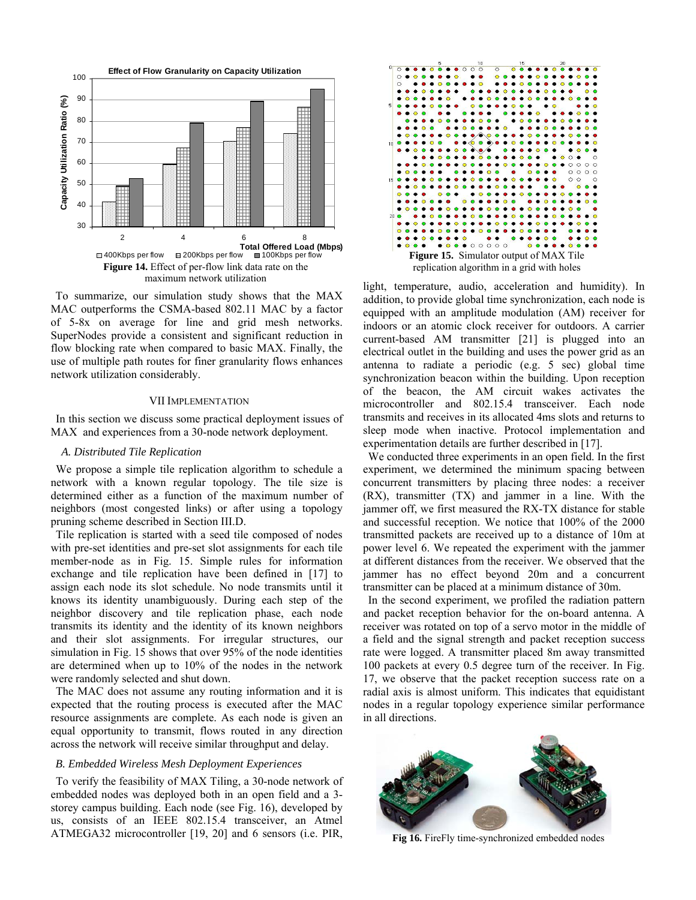

To summarize, our simulation study shows that the MAX MAC outperforms the CSMA-based 802.11 MAC by a factor of 5-8x on average for line and grid mesh networks. SuperNodes provide a consistent and significant reduction in flow blocking rate when compared to basic MAX. Finally, the use of multiple path routes for finer granularity flows enhances network utilization considerably.

#### VII IMPLEMENTATION

In this section we discuss some practical deployment issues of MAX and experiences from a 30-node network deployment.

#### *A. Distributed Tile Replication*

We propose a simple tile replication algorithm to schedule a network with a known regular topology. The tile size is determined either as a function of the maximum number of neighbors (most congested links) or after using a topology pruning scheme described in Section III.D.

Tile replication is started with a seed tile composed of nodes with pre-set identities and pre-set slot assignments for each tile member-node as in Fig. 15. Simple rules for information exchange and tile replication have been defined in [17] to assign each node its slot schedule. No node transmits until it knows its identity unambiguously. During each step of the neighbor discovery and tile replication phase, each node transmits its identity and the identity of its known neighbors and their slot assignments. For irregular structures, our simulation in Fig. 15 shows that over 95% of the node identities are determined when up to 10% of the nodes in the network were randomly selected and shut down.

The MAC does not assume any routing information and it is expected that the routing process is executed after the MAC resource assignments are complete. As each node is given an equal opportunity to transmit, flows routed in any direction across the network will receive similar throughput and delay.

#### *B. Embedded Wireless Mesh Deployment Experiences*

To verify the feasibility of MAX Tiling, a 30-node network of embedded nodes was deployed both in an open field and a 3 storey campus building. Each node (see Fig. 16), developed by us, consists of an IEEE 802.15.4 transceiver, an Atmel ATMEGA32 microcontroller [19, 20] and 6 sensors (i.e. PIR,



light, temperature, audio, acceleration and humidity). In addition, to provide global time synchronization, each node is equipped with an amplitude modulation (AM) receiver for indoors or an atomic clock receiver for outdoors. A carrier current-based AM transmitter [21] is plugged into an electrical outlet in the building and uses the power grid as an antenna to radiate a periodic (e.g. 5 sec) global time synchronization beacon within the building. Upon reception of the beacon, the AM circuit wakes activates the microcontroller and 802.15.4 transceiver. Each node transmits and receives in its allocated 4ms slots and returns to sleep mode when inactive. Protocol implementation and experimentation details are further described in [17].

We conducted three experiments in an open field. In the first experiment, we determined the minimum spacing between concurrent transmitters by placing three nodes: a receiver (RX), transmitter (TX) and jammer in a line. With the jammer off, we first measured the RX-TX distance for stable and successful reception. We notice that 100% of the 2000 transmitted packets are received up to a distance of 10m at power level 6. We repeated the experiment with the jammer at different distances from the receiver. We observed that the jammer has no effect beyond 20m and a concurrent transmitter can be placed at a minimum distance of 30m.

In the second experiment, we profiled the radiation pattern and packet reception behavior for the on-board antenna. A receiver was rotated on top of a servo motor in the middle of a field and the signal strength and packet reception success rate were logged. A transmitter placed 8m away transmitted 100 packets at every 0.5 degree turn of the receiver. In Fig. 17, we observe that the packet reception success rate on a radial axis is almost uniform. This indicates that equidistant nodes in a regular topology experience similar performance in all directions.



**Fig 16.** FireFly time-synchronized embedded nodes